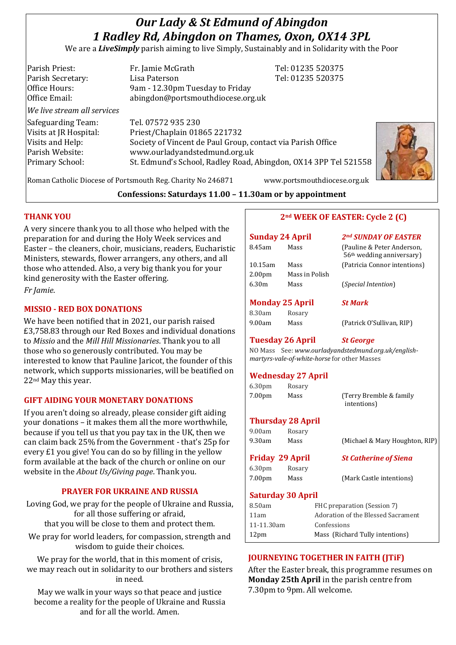# *Our Lady & St Edmund of Abingdon 1 Radley Rd, Abingdon on Thames, Oxon, OX14 3PL*

We are a *LiveSimply* parish aiming to live Simply, Sustainably and in Solidarity with the Poor

| Parish Priest:              | Fr. Jamie McGrath                                               | Tel: 01235 520375 |
|-----------------------------|-----------------------------------------------------------------|-------------------|
| Parish Secretary:           | Lisa Paterson                                                   | Tel: 01235 520375 |
| Office Hours:               | 9am - 12.30pm Tuesday to Friday                                 |                   |
| Office Email:               | abingdon@portsmouthdiocese.org.uk                               |                   |
| We live stream all services |                                                                 |                   |
| Safeguarding Team:          | Tel. 07572 935 230                                              |                   |
| Visits at JR Hospital:      | Priest/Chaplain 01865 221732                                    |                   |
| Visits and Help:            | Society of Vincent de Paul Group, contact via Parish Office     |                   |
| Parish Website:             | www.ourladyandstedmund.org.uk                                   |                   |
| <b>Primary School:</b>      | St. Edmund's School, Radley Road, Abingdon, OX14 3PP Tel 521558 |                   |
|                             |                                                                 |                   |



Roman Catholic Diocese of Portsmouth Reg. Charity No 246871 www.portsmouthdiocese.org.uk

## **Confessions: Saturdays 11.00 – 11.30am or by appointment**

## **THANK YOU**

A very sincere thank you to all those who helped with the preparation for and during the Holy Week services and Easter – the cleaners, choir, musicians, readers, Eucharistic Ministers, stewards, flower arrangers, any others, and all those who attended. Also, a very big thank you for your kind generosity with the Easter offering.

*Fr Jamie*.

## **MISSIO - RED BOX DONATIONS**

We have been notified that in 2021, our parish raised £3,758.83 through our Red Boxes and individual donations to *Missio* and the *Mill Hill Missionaries*. Thank you to all those who so generously contributed. You may be interested to know that Pauline Jaricot, the founder of this network, which supports missionaries, will be beatified on 22nd May this year.

## **GIFT AIDING YOUR MONETARY DONATIONS**

If you aren't doing so already, please consider gift aiding your donations – it makes them all the more worthwhile, because if you tell us that you pay tax in the UK, then we can claim back 25% from the Government - that's 25p for every £1 you give! You can do so by filling in the yellow form available at the back of the church or online on our website in the *About Us/Giving page*. Thank you.

## **PRAYER FOR UKRAINE AND RUSSIA**

Loving God, we pray for the people of Ukraine and Russia, for all those suffering or afraid, that you will be close to them and protect them.

We pray for world leaders, for compassion, strength and

wisdom to guide their choices.

We pray for the world, that in this moment of crisis, we may reach out in solidarity to our brothers and sisters in need.

May we walk in your ways so that peace and justice become a reality for the people of Ukraine and Russia and for all the world. Amen.

## **2nd WEEK OF EASTER: Cycle 2 (C)**

| <b>Sunday 24 April</b> |                        | 2nd SUNDAY OF EASTER                                                |  |
|------------------------|------------------------|---------------------------------------------------------------------|--|
| 8.45am                 | Mass                   | (Pauline & Peter Anderson,<br>56 <sup>th</sup> wedding anniversary) |  |
| $10.15$ am             | Mass                   | (Patricia Connor intentions)                                        |  |
| 2.00 <sub>pm</sub>     | Mass in Polish         |                                                                     |  |
| 6.30m                  | Mass                   | <i>(Special Intention)</i>                                          |  |
|                        | <b>Monday 25 April</b> | <b>St Mark</b>                                                      |  |

## 8.30am Rosary

9.00am Mass (Patrick O'Sullivan, RIP)

#### **Tuesday 26 April** *St George*

NO Mass See: *www.ourladyandstedmund.org.uk/englishmartyrs-vale-of-white-horse* for other Masses

#### **Wednesday 27 April**

| 6.30pm | Rosary                       |                                         |
|--------|------------------------------|-----------------------------------------|
| 7.00pm | Mass                         | (Terry Bremble & family)<br>intentions) |
|        | The contract of the Assembly |                                         |

#### **Thursday 28 April**

| 9.00am             | Rosary                 |                                |
|--------------------|------------------------|--------------------------------|
| 9.30am             | Mass                   | (Michael & Mary Houghton, RIP) |
|                    | <b>Friday 29 April</b> | <b>St Catherine of Siena</b>   |
| 6.30 <sub>pm</sub> | Rosary                 |                                |
| 7.00 <sub>pm</sub> | Mass                   | (Mark Castle intentions)       |

## **Saturday 30 April**

| 8.50am           | FHC preparation (Session 7)        |
|------------------|------------------------------------|
| 11am             | Adoration of the Blessed Sacrament |
| 11-11.30am       | Confessions                        |
| 12 <sub>pm</sub> | Mass (Richard Tully intentions)    |
|                  |                                    |

#### **JOURNEYING TOGETHER IN FAITH (JTiF)**

After the Easter break, this programme resumes on **Monday 25th April** in the parish centre from 7.30pm to 9pm. All welcome.